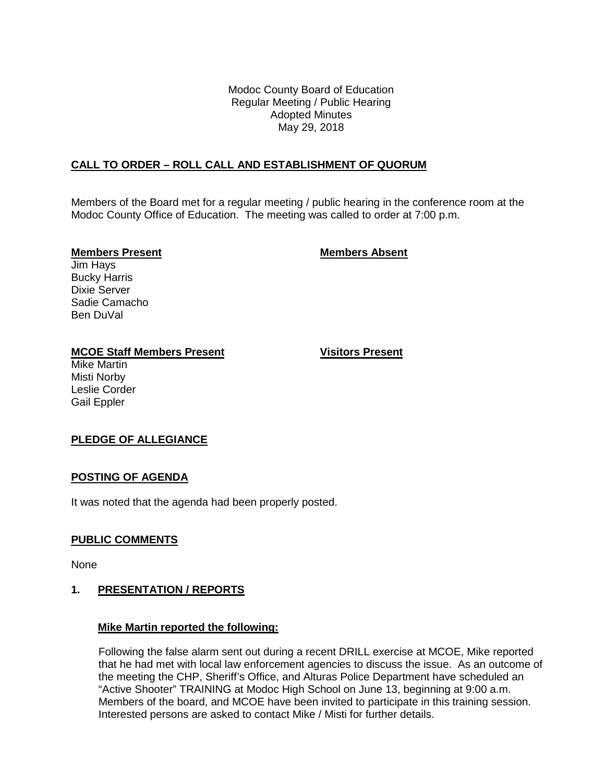Modoc County Board of Education Regular Meeting / Public Hearing Adopted Minutes May 29, 2018

# **CALL TO ORDER – ROLL CALL AND ESTABLISHMENT OF QUORUM**

Members of the Board met for a regular meeting / public hearing in the conference room at the Modoc County Office of Education. The meeting was called to order at 7:00 p.m.

#### **Members Present Members Absent**

Jim Hays Bucky Harris Dixie Server Sadie Camacho Ben DuVal

#### **MCOE Staff Members Present Visitors Present**

Mike Martin Misti Norby Leslie Corder Gail Eppler

#### **PLEDGE OF ALLEGIANCE**

#### **POSTING OF AGENDA**

It was noted that the agenda had been properly posted.

#### **PUBLIC COMMENTS**

None

#### **1. PRESENTATION / REPORTS**

#### **Mike Martin reported the following:**

Following the false alarm sent out during a recent DRILL exercise at MCOE, Mike reported that he had met with local law enforcement agencies to discuss the issue. As an outcome of the meeting the CHP, Sheriff's Office, and Alturas Police Department have scheduled an "Active Shooter" TRAINING at Modoc High School on June 13, beginning at 9:00 a.m. Members of the board, and MCOE have been invited to participate in this training session. Interested persons are asked to contact Mike / Misti for further details.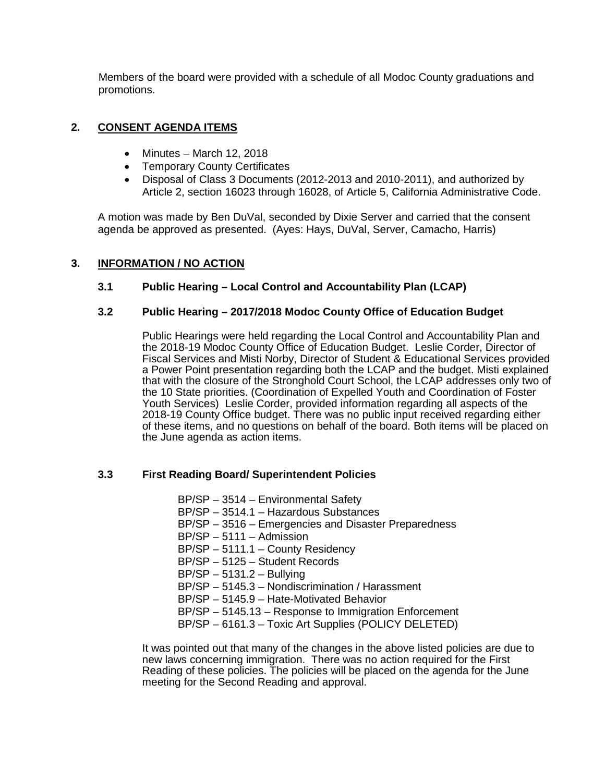Members of the board were provided with a schedule of all Modoc County graduations and promotions.

# **2. CONSENT AGENDA ITEMS**

- Minutes March 12, 2018
- Temporary County Certificates
- Disposal of Class 3 Documents (2012-2013 and 2010-2011), and authorized by Article 2, section 16023 through 16028, of Article 5, California Administrative Code.

A motion was made by Ben DuVal, seconded by Dixie Server and carried that the consent agenda be approved as presented. (Ayes: Hays, DuVal, Server, Camacho, Harris)

# **3. INFORMATION / NO ACTION**

# **3.1 Public Hearing – Local Control and Accountability Plan (LCAP)**

# **3.2 Public Hearing – 2017/2018 Modoc County Office of Education Budget**

Public Hearings were held regarding the Local Control and Accountability Plan and the 2018-19 Modoc County Office of Education Budget. Leslie Corder, Director of Fiscal Services and Misti Norby, Director of Student & Educational Services provided a Power Point presentation regarding both the LCAP and the budget. Misti explained that with the closure of the Stronghold Court School, the LCAP addresses only two of the 10 State priorities. (Coordination of Expelled Youth and Coordination of Foster Youth Services) Leslie Corder, provided information regarding all aspects of the 2018-19 County Office budget. There was no public input received regarding either of these items, and no questions on behalf of the board. Both items will be placed on the June agenda as action items.

# **3.3 First Reading Board/ Superintendent Policies**

BP/SP – 3514 – Environmental Safety BP/SP – 3514.1 – Hazardous Substances BP/SP – 3516 – Emergencies and Disaster Preparedness BP/SP – 5111 – Admission BP/SP – 5111.1 – County Residency BP/SP – 5125 – Student Records BP/SP – 5131.2 – Bullying BP/SP – 5145.3 – Nondiscrimination / Harassment BP/SP – 5145.9 – Hate-Motivated Behavior BP/SP – 5145.13 – Response to Immigration Enforcement BP/SP – 6161.3 – Toxic Art Supplies (POLICY DELETED)

It was pointed out that many of the changes in the above listed policies are due to new laws concerning immigration. There was no action required for the First Reading of these policies. The policies will be placed on the agenda for the June meeting for the Second Reading and approval.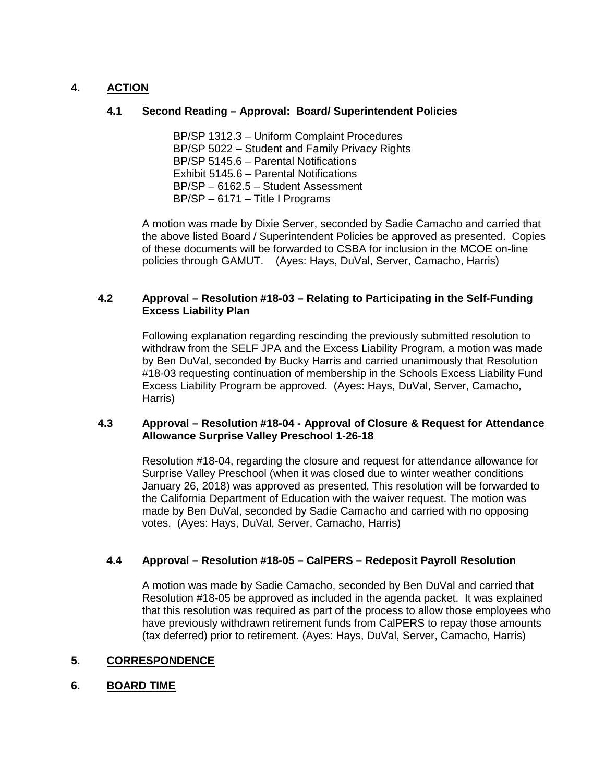# **4. ACTION**

### **4.1 Second Reading – Approval: Board/ Superintendent Policies**

BP/SP 1312.3 – Uniform Complaint Procedures BP/SP 5022 – Student and Family Privacy Rights BP/SP 5145.6 – Parental Notifications Exhibit 5145.6 – Parental Notifications BP/SP – 6162.5 – Student Assessment BP/SP – 6171 – Title I Programs

A motion was made by Dixie Server, seconded by Sadie Camacho and carried that the above listed Board / Superintendent Policies be approved as presented. Copies of these documents will be forwarded to CSBA for inclusion in the MCOE on-line policies through GAMUT. (Ayes: Hays, DuVal, Server, Camacho, Harris)

### **4.2 Approval – Resolution #18-03 – Relating to Participating in the Self-Funding Excess Liability Plan**

Following explanation regarding rescinding the previously submitted resolution to withdraw from the SELF JPA and the Excess Liability Program, a motion was made by Ben DuVal, seconded by Bucky Harris and carried unanimously that Resolution #18-03 requesting continuation of membership in the Schools Excess Liability Fund Excess Liability Program be approved. (Ayes: Hays, DuVal, Server, Camacho, Harris)

### **4.3 Approval – Resolution #18-04 - Approval of Closure & Request for Attendance Allowance Surprise Valley Preschool 1-26-18**

Resolution #18-04, regarding the closure and request for attendance allowance for Surprise Valley Preschool (when it was closed due to winter weather conditions January 26, 2018) was approved as presented. This resolution will be forwarded to the California Department of Education with the waiver request. The motion was made by Ben DuVal, seconded by Sadie Camacho and carried with no opposing votes. (Ayes: Hays, DuVal, Server, Camacho, Harris)

# **4.4 Approval – Resolution #18-05 – CalPERS – Redeposit Payroll Resolution**

A motion was made by Sadie Camacho, seconded by Ben DuVal and carried that Resolution #18-05 be approved as included in the agenda packet. It was explained that this resolution was required as part of the process to allow those employees who have previously withdrawn retirement funds from CalPERS to repay those amounts (tax deferred) prior to retirement. (Ayes: Hays, DuVal, Server, Camacho, Harris)

# **5. CORRESPONDENCE**

#### **6. BOARD TIME**